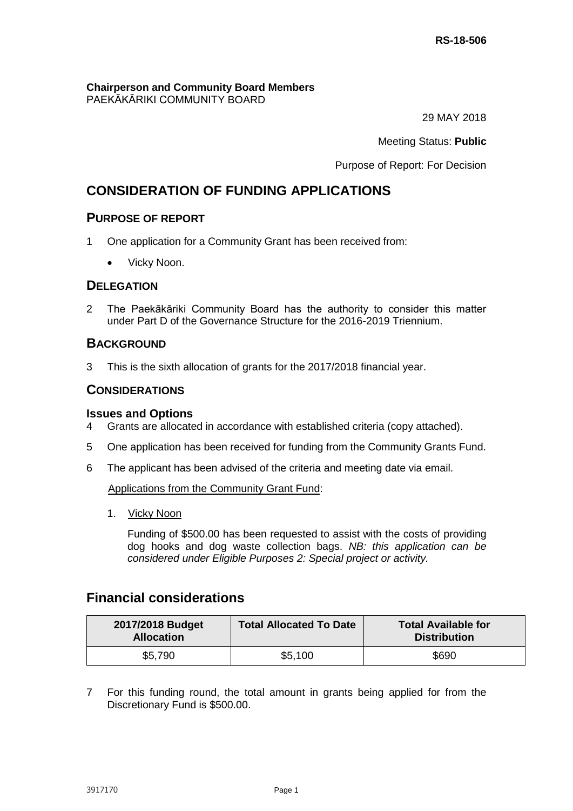**Chairperson and Community Board Members** PAEKĀKĀRIKI COMMUNITY BOARD

29 MAY 2018

Meeting Status: **Public**

Purpose of Report: For Decision

# **CONSIDERATION OF FUNDING APPLICATIONS**

## **PURPOSE OF REPORT**

- 1 One application for a Community Grant has been received from:
	- Vicky Noon.

## **DELEGATION**

2 The Paekākāriki Community Board has the authority to consider this matter under Part D of the Governance Structure for the 2016-2019 Triennium.

## **BACKGROUND**

3 This is the sixth allocation of grants for the 2017/2018 financial year.

## **CONSIDERATIONS**

#### **Issues and Options**

- 4 Grants are allocated in accordance with established criteria (copy attached).
- 5 One application has been received for funding from the Community Grants Fund.
- 6 The applicant has been advised of the criteria and meeting date via email.

Applications from the Community Grant Fund:

1. Vicky Noon

Funding of \$500.00 has been requested to assist with the costs of providing dog hooks and dog waste collection bags. *NB: this application can be considered under Eligible Purposes 2: Special project or activity.*

## **Financial considerations**

| 2017/2018 Budget<br><b>Allocation</b> | <b>Total Allocated To Date</b> | <b>Total Available for</b><br><b>Distribution</b> |
|---------------------------------------|--------------------------------|---------------------------------------------------|
| \$5,790                               | \$5,100                        | \$690                                             |

7 For this funding round, the total amount in grants being applied for from the Discretionary Fund is \$500.00.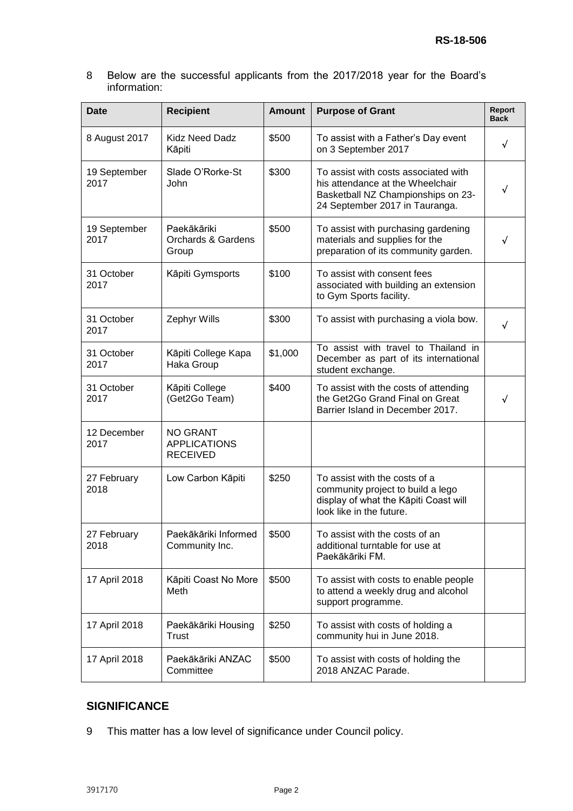8 Below are the successful applicants from the 2017/2018 year for the Board's information:

| <b>Date</b>          | <b>Recipient</b>                                          | <b>Amount</b> | <b>Purpose of Grant</b>                                                                                                                          | Report<br><b>Back</b> |
|----------------------|-----------------------------------------------------------|---------------|--------------------------------------------------------------------------------------------------------------------------------------------------|-----------------------|
| 8 August 2017        | <b>Kidz Need Dadz</b><br>Kāpiti                           | \$500         | To assist with a Father's Day event<br>on 3 September 2017                                                                                       | √                     |
| 19 September<br>2017 | Slade O'Rorke-St<br>John                                  | \$300         | To assist with costs associated with<br>his attendance at the Wheelchair<br>Basketball NZ Championships on 23-<br>24 September 2017 in Tauranga. | √                     |
| 19 September<br>2017 | Paekākāriki<br><b>Orchards &amp; Gardens</b><br>Group     | \$500         | To assist with purchasing gardening<br>materials and supplies for the<br>preparation of its community garden.                                    |                       |
| 31 October<br>2017   | Kāpiti Gymsports                                          | \$100         | To assist with consent fees<br>associated with building an extension<br>to Gym Sports facility.                                                  |                       |
| 31 October<br>2017   | Zephyr Wills                                              | \$300         | To assist with purchasing a viola bow.                                                                                                           |                       |
| 31 October<br>2017   | Kāpiti College Kapa<br>Haka Group                         | \$1,000       | To assist with travel to Thailand in<br>December as part of its international<br>student exchange.                                               |                       |
| 31 October<br>2017   | Kāpiti College<br>(Get2Go Team)                           | \$400         | To assist with the costs of attending<br>the Get2Go Grand Final on Great<br>Barrier Island in December 2017.                                     |                       |
| 12 December<br>2017  | <b>NO GRANT</b><br><b>APPLICATIONS</b><br><b>RECEIVED</b> |               |                                                                                                                                                  |                       |
| 27 February<br>2018  | Low Carbon Kāpiti                                         | \$250         | To assist with the costs of a<br>community project to build a lego<br>display of what the Kāpiti Coast will<br>look like in the future.          |                       |
| 27 February<br>2018  | Paekākāriki Informed<br>Community Inc.                    | \$500         | To assist with the costs of an<br>additional turntable for use at<br>Paekākāriki FM.                                                             |                       |
| 17 April 2018        | Kāpiti Coast No More<br>Meth                              | \$500         | To assist with costs to enable people<br>to attend a weekly drug and alcohol<br>support programme.                                               |                       |
| 17 April 2018        | Paekākāriki Housing<br>Trust                              | \$250         | To assist with costs of holding a<br>community hui in June 2018.                                                                                 |                       |
| 17 April 2018        | Paekākāriki ANZAC<br>Committee                            | \$500         | To assist with costs of holding the<br>2018 ANZAC Parade.                                                                                        |                       |

## **SIGNIFICANCE**

9 This matter has a low level of significance under Council policy.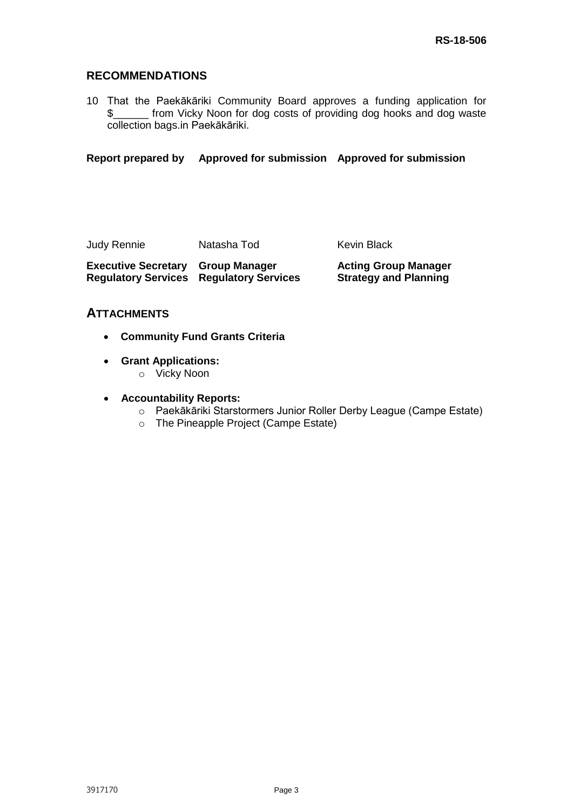## **RECOMMENDATIONS**

10 That the Paekākāriki Community Board approves a funding application for \$\_\_\_\_\_\_ from Vicky Noon for dog costs of providing dog hooks and dog waste collection bags.in Paekākāriki.

**Report prepared by Approved for submission Approved for submission**

Judy Rennie Matasha Tod Kevin Black

**Executive Secretary Group Manager Regulatory Services Regulatory Services** **Acting Group Manager Strategy and Planning**

## **ATTACHMENTS**

- **Community Fund Grants Criteria**
- **Grant Applications:**
	- o Vicky Noon
- **Accountability Reports:**
	- o Paekākāriki Starstormers Junior Roller Derby League (Campe Estate)
	- o The Pineapple Project (Campe Estate)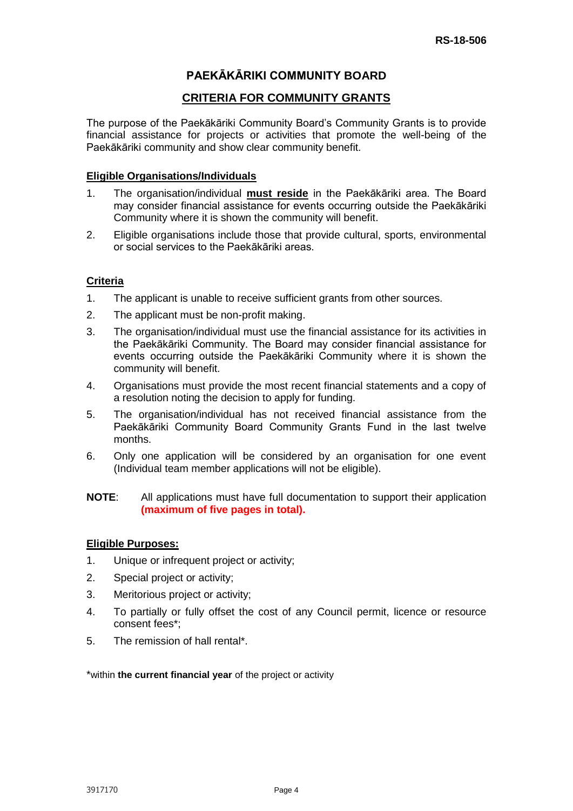## **PAEKĀKĀRIKI COMMUNITY BOARD**

## **CRITERIA FOR COMMUNITY GRANTS**

The purpose of the Paekākāriki Community Board's Community Grants is to provide financial assistance for projects or activities that promote the well-being of the Paekākāriki community and show clear community benefit.

### **Eligible Organisations/Individuals**

- 1. The organisation/individual **must reside** in the Paekākāriki area. The Board may consider financial assistance for events occurring outside the Paekākāriki Community where it is shown the community will benefit.
- 2. Eligible organisations include those that provide cultural, sports, environmental or social services to the Paekākāriki areas.

## **Criteria**

- 1. The applicant is unable to receive sufficient grants from other sources.
- 2. The applicant must be non-profit making.
- 3. The organisation/individual must use the financial assistance for its activities in the Paekākāriki Community. The Board may consider financial assistance for events occurring outside the Paekākāriki Community where it is shown the community will benefit.
- 4. Organisations must provide the most recent financial statements and a copy of a resolution noting the decision to apply for funding.
- 5. The organisation/individual has not received financial assistance from the Paekākāriki Community Board Community Grants Fund in the last twelve months.
- 6. Only one application will be considered by an organisation for one event (Individual team member applications will not be eligible).

### **NOTE**: All applications must have full documentation to support their application **(maximum of five pages in total).**

## **Eligible Purposes:**

- 1. Unique or infrequent project or activity;
- 2. Special project or activity;
- 3. Meritorious project or activity;
- 4. To partially or fully offset the cost of any Council permit, licence or resource consent fees\*;
- 5. The remission of hall rental\*.

\*within **the current financial year** of the project or activity